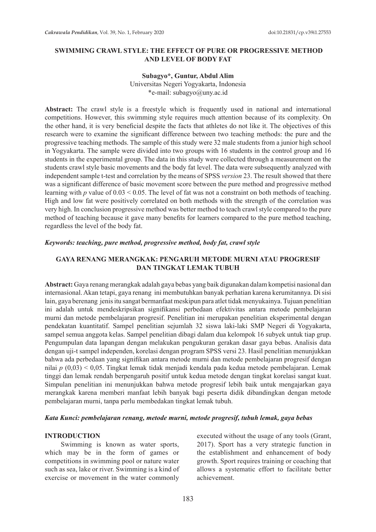## **SWIMMING CRAWL STYLE: THE EFFECT OF PURE OR PROGRESSIVE METHOD AND LEVEL OF BODY FAT**

### **Subagyo\*, Guntur, Abdul Alim**

Universitas Negeri Yogyakarta, Indonesia \*e-mail: subagyo@uny.ac.id

Abstract: The crawl style is a freestyle which is frequently used in national and international competitions. However, this swimming style requires much attention because of its complexity. On the other hand, it is very beneficial despite the facts that athletes do not like it. The objectives of this research were to examine the significant difference between two teaching methods: the pure and the progressive teaching methods. The sample of this study were 32 male students from a junior high school in Yogyakarta. The sample were divided into two groups with 16 students in the control group and 16 students in the experimental group. The data in this study were collected through a measurement on the students crawl style basic movements and the body fat level. The data were subsequently analyzed with independent sample t-test and correlation by the means of SPSS *version* 23. The result showed that there was a significant difference of basic movement score between the pure method and progressive method learning with *p* value of 0.03 < 0.05. The level of fat was not a constraint on both methods of teaching. High and low fat were positively correlated on both methods with the strength of the correlation was very high. In conclusion progressive method was better method to teach crawl style compared to the pure method of teaching because it gave many benefits for learners compared to the pure method teaching, regardless the level of the body fat.

### *Keywords: teaching, pure method, progressive method, body fat, crawl style*

## **GAYA RENANG MERANGKAK: PENGARUH METODE MURNI ATAU PROGRESIF DAN TINGKAT LEMAK TUBUH**

**Abstract:** Gaya renang merangkak adalah gaya bebas yang baik digunakan dalam kompetisi nasional dan internasional. Akan tetapi, gaya renang ini membutuhkan banyak perhatian karena kerumitannya. Di sisi lain, gaya berenang jenis itu sangat bermanfaat meskipun para atlet tidak menyukainya. Tujuan penelitian ini adalah untuk mendeskripsikan signifikansi perbedaan efektivitas antara metode pembelajaran murni dan metode pembelajaran progresif. Penelitian ini merupakan penelitian eksperimental dengan pendekatan kuantitatif. Sampel penelitian sejumlah 32 siswa laki-laki SMP Negeri di Yogyakarta, sampel semua anggota kelas. Sampel penelitian dibagi dalam dua kelompok 16 subyek untuk tiap grup. Pengumpulan data lapangan dengan melakukan pengukuran gerakan dasar gaya bebas. Analisis data dengan uji-t sampel independen, korelasi dengan program SPSS versi 23. Hasil penelitian menunjukkan bahwa ada perbedaan yang signifikan antara metode murni dan metode pembelajaran progresif dengan nilai *p* (0,03) < 0,05. Tingkat lemak tidak menjadi kendala pada kedua metode pembelajaran. Lemak tinggi dan lemak rendah berpengaruh positif untuk kedua metode dengan tingkat korelasi sangat kuat. Simpulan penelitian ini menunjukkan bahwa metode progresif lebih baik untuk mengajarkan gaya merangkak karena memberi manfaat lebih banyak bagi peserta didik dibandingkan dengan metode pembelajaran murni, tanpa perlu membedakan tingkat lemak tubuh.

### *Kata Kunci: pembelajaran renang, metode murni, metode progresif, tubuh lemak, gaya bebas*

#### **INTRODUCTION**

Swimming is known as water sports, which may be in the form of games or competitions in swimming pool or nature water such as sea, lake or river. Swimming is a kind of exercise or movement in the water commonly

executed without the usage of any tools (Grant, 2017). Sport has a very strategic function in the establishment and enhancement of body growth. Sport requires training or coaching that allows a systematic effort to facilitate better achievement.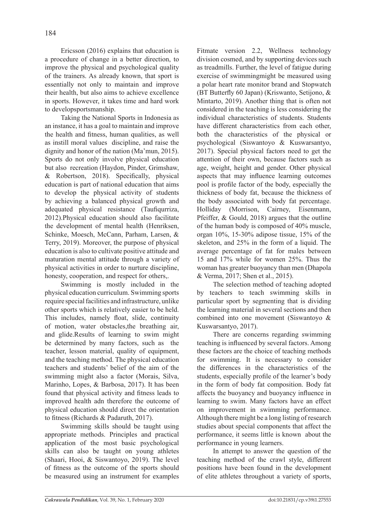Ericsson (2016) explains that education is a procedure of change in a better direction, to improve the physical and psychological quality of the trainers. As already known, that sport is essentially not only to maintain and improve their health, but also aims to achieve excellence in sports. However, it takes time and hard work to developsportsmanship.

Taking the National Sports in Indonesia as an instance, it has a goal to maintain and improve the health and fitness, human qualities, as well as instill moral values discipline, and raise the dignity and honor of the nation (Ma'mun, 2015). Sports do not only involve physical education but also recreation (Haydon, Pinder, Grimshaw, & Robertson, 2018). Specifically, physical education is part of national education that aims to develop the physical activity of students by achieving a balanced physical growth and adequated physical resistance (Taufiqurriza, 2012).Physical education should also facilitate the development of mental health (Henriksen, Schinke, Moesch, McCann, Parham, Larsen, & Terry, 2019). Moreover, the purpose of physical education is also to cultivate positive attitude and maturation mental attitude through a variety of physical activities in order to nurture discipline, honesty, cooperation, and respect for others,.

Swimming is mostly included in the physical education curriculum. Swimming sports require special facilities and infrastructure, unlike other sports which is relatively easier to be held. This includes, namely float, slide, continuity of motion, water obstacles,the breathing air, and glide.Results of learning to swim might be determined by many factors, such as the teacher, lesson material, quality of equipment, and the teaching method. The physical education teachers and students' belief of the aim of the swimming might also a factor (Morais, Silva, Marinho, Lopes, & Barbosa, 2017). It has been found that physical activity and fitness leads to improved health adn therefore the outcome of physical education should direct the orientation to fitness (Richards & Padaruth, 2017).

Swimming skills should be taught using appropriate methods. Principles and practical application of the most basic psychological skills can also be taught on young athletes (Shaari, Hooi, & Siswantoyo, 2019). The level of fitness as the outcome of the sports should be measured using an instrument for examples Fitmate version 2.2, Wellness technology division cosmed, and by supporting devices such as treadmills. Further, the level of fatigue during exercise of swimmingmight be measured using a polar heart rate monitor brand and Stopwatch (BT Butterfly 60 Japan) (Kriswanto, Setijono, & Mintarto, 2019). Another thing that is often not considered in the teaching is less considering the individual characteristics of students. Students have different characteristics from each other, both the characteristics of the physical or psychological (Siswantoyo & Kuswarsantyo, 2017). Special physical factors need to get the attention of their own, because factors such as age, weight, height and gender. Other physical aspects that may influence learning outcomes pool is profile factor of the body, especially the thickness of body fat, because the thickness of the body associated with body fat percentage. Holliday (Morrison, Cairney, Eisenmann, Pfeiffer, & Gould, 2018) argues that the outline of the human body is composed of 40% muscle, organ 10%, 15-30% adipose tissue, 15% of the skeleton, and 25% in the form of a liquid. The average percentage of fat for males between 15 and 17% while for women 25%. Thus the woman has greater buoyancy than men (Dhapola & Verma, 2017; Shen et al., 2015).

The selection method of teaching adopted by teachers to teach swimming skills in particular sport by segmenting that is dividing the learning material in several sections and then combined into one movement (Siswantoyo & Kuswarsantyo, 2017).

There are concerns regarding swimming teaching is influenced by several factors. Among these factors are the choice of teaching methods for swimming. It is necessary to consider the differences in the characteristics of the students, especially profile of the learner's body in the form of body fat composition. Body fat affects the buoyancy and buoyancy influence in learning to swim. Many factors have an effect on improvement in swimming performance. Although there might be a long listing of research studies about special components that affect the performance, it seems little is known about the performance in young learners.

In attempt to answer the question of the teaching method of the crawl style, different positions have been found in the development of elite athletes throughout a variety of sports,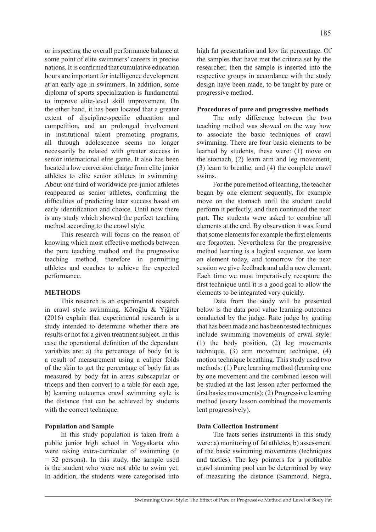or inspecting the overall performance balance at some point of elite swimmers' careers in precise nations. It is confirmed that cumulative education hours are important for intelligence development at an early age in swimmers. In addition, some diploma of sports specialization is fundamental to improve elite-level skill improvement. On the other hand, it has been located that a greater extent of discipline-specific education and competition, and an prolonged involvement in institutional talent promoting programs, all through adolescence seems no longer necessarily be related with greater success in senior international elite game. It also has been located a low conversion charge from elite junior athletes to elite senior athletes in swimming. About one third of worldwide pre-junior athletes reappeared as senior athletes, confirming the difficulties of predicting later success based on early identification and choice. Until now there is any study which showed the perfect teaching method according to the crawl style.

This research will focus on the reason of knowing which most effective methods between the pure teaching method and the progressive teaching method, therefore in permitting athletes and coaches to achieve the expected performance.

### **METHODS**

This research is an experimental research in crawl style swimming. Köroğlu & Yiğiter (2016) explain that experimental research is a study intended to determine whether there are results or not for a given treatment subject. In this case the operational definition of the dependant variables are: a) the percentage of body fat is a result of measurement using a caliper folds of the skin to get the percentage of body fat as measured by body fat in areas subscapular or triceps and then convert to a table for each age, b) learning outcomes crawl swimming style is the distance that can be achieved by students with the correct technique.

### **Population and Sample**

In this study population is taken from a public junior high school in Yogyakarta who were taking extra-curricular of swimming (*n* = 32 persons). In this study, the sample used is the student who were not able to swim yet. In addition, the students were categorised into high fat presentation and low fat percentage. Of the samples that have met the criteria set by the researcher, then the sample is inserted into the respective groups in accordance with the study design have been made, to be taught by pure or progressive method.

#### **Procedures of pure and progressive methods**

The only difference between the two teaching method was showed on the way how to associate the basic techniques of crawl swimming. There are four basic elements to be learned by students, these were: (1) move on the stomach, (2) learn arm and leg movement, (3) learn to breathe, and (4) the complete crawl swims.

For the pure method of learning, the teacher began by one element sequently, for example move on the stomach until the student could perform it perfectly, and then continued the next part. The students were asked to combine all elements at the end. By observation it was found that some elements for example the first elements are forgotten. Nevertheless for the progressive method learning is a logical sequence, we learn an element today, and tomorrow for the next session we give feedback and add a new element. Each time we must imperatively recapture the first technique until it is a good goal to allow the elements to be integrated very quickly.

Data from the study will be presented below is the data pool value learning outcomes conducted by the judge. Rate judge by grating that has been made and has been tested techniques include swimming movements of crwal style: (1) the body position, (2) leg movements technique, (3) arm movement technique, (4) motion technique breathing. This study used two methods: (1) Pure learning method (learning one by one movement and the combined lesson will be studied at the last lesson after performed the first basics movements); (2) Progressive learning method (every lesson combined the movements lent progressively).

## **Data Collection Instrument**

The facts series instruments in this study were: a) monitoring of fat athletes, b) assessment of the basic swimming movements (techniques and tactics). The key pointers for a profitable crawl summing pool can be determined by way of measuring the distance (Sammoud, Negra,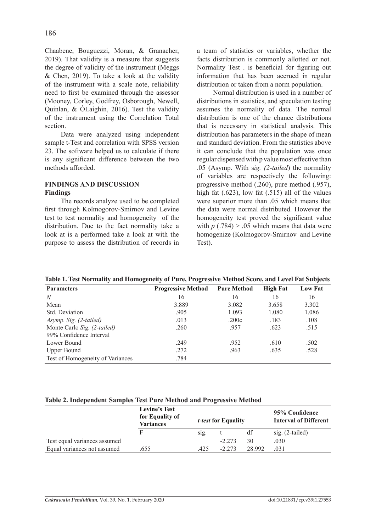Chaabene, Bouguezzi, Moran, & Granacher, 2019). That validity is a measure that suggests the degree of validity of the instrument (Meggs & Chen, 2019). To take a look at the validity of the instrument with a scale note, reliability need to first be examined through the assessor (Mooney, Corley, Godfrey, Osborough, Newell, Quinlan, & ÓLaighin, 2016). Test the validity of the instrument using the Correlation Total section.

Data were analyzed using independent sample t-Test and correlation with SPSS version 23. The software helped us to calculate if there is any significant difference between the two methods afforded.

# **FINDINGS AND DISCUSSION Findings**

The records analyze used to be completed first through Kolmogorov-Smirnov and Levine test to test normality and homogeneity of the distribution. Due to the fact normality take a look at is a performed take a look at with the purpose to assess the distribution of records in a team of statistics or variables, whether the facts distribution is commonly allotted or not. Normality Test . is beneficial for figuring out information that has been accrued in regular distribution or taken from a norm population.

Normal distribution is used in a number of distributions in statistics, and speculation testing assumes the normality of data. The normal distribution is one of the chance distributions that is necessary in statistical analysis. This distribution has parameters in the shape of mean and standard deviation. From the statistics above it can conclude that the population was once regular dispensed with p value most effective than .05 (Asymp. With s*ig. (2-tailed*) the normality of variables are respectively the following: progressive method (.260), pure method (.957), high fat (.623), low fat (.515) all of the values were superior more than .05 which means that the data were normal distributed. However the homogeneity test proved the significant value with  $p(.784) > .05$  which means that data were homogenize (Kolmogorov-Smirnov and Levine Test).

**Table 1. Test Normality and Homogeneity of Pure, Progressive Method Score, and Level Fat Subjects**

| <b>Parameters</b>                | <b>Progressive Method</b> | <b>Pure Method</b> | <b>High Fat</b> | <b>Low Fat</b> |  |
|----------------------------------|---------------------------|--------------------|-----------------|----------------|--|
| N                                | 16                        | 16                 | 16              | 16             |  |
| Mean                             | 3.889                     | 3.082              | 3.658           | 3.302          |  |
| Std. Deviation                   | .905                      | 1.093              | 1.080           | 1.086          |  |
| Asymp. Sig. (2-tailed)           | .013                      | .200c              | .183            | .108           |  |
| Monte Carlo Sig. (2-tailed)      | .260                      | .957               | .623            | .515           |  |
| 99% Confidence Interval          |                           |                    |                 |                |  |
| Lower Bound                      | .249                      | .952               | .610            | .502           |  |
| <b>Upper Bound</b>               | .272                      | .963               | .635            | .528           |  |
| Test of Homogeneity of Variances | .784                      |                    |                 |                |  |
|                                  |                           |                    |                 |                |  |

# **Table 2. Independent Samples Test Pure Method and Progressive Method**

|                              | <b>Levine's Test</b><br>for Equality of<br><b>Variances</b> | <i>t-test</i> for Equality |          | 95% Confidence<br><b>Interval of Different</b> |                    |
|------------------------------|-------------------------------------------------------------|----------------------------|----------|------------------------------------------------|--------------------|
|                              |                                                             | SIg.                       |          | df                                             | sig. $(2$ -tailed) |
| Test equal variances assumed |                                                             |                            | $-2,273$ | 30                                             | .030               |
| Equal variances not assumed  | .655                                                        | 425                        | $-2.273$ | 28 9 92                                        | 031                |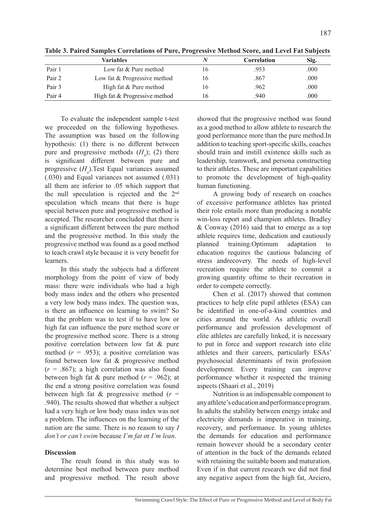| <b>Variables</b> |                               |     | Correlation | Sig. |  |
|------------------|-------------------------------|-----|-------------|------|--|
| Pair 1           | Low fat & Pure method         | l 6 | .953        | .000 |  |
| Pair 2           | Low fat & Progressive method  | 16  | .867        | .000 |  |
| Pair 3           | High fat & Pure method        | 16  | .962        | .000 |  |
| Pair 4           | High fat & Progressive method | 16  | .940        | .000 |  |

**Table 3. Paired Samples Correlations of Pure, Progressive Method Score, and Level Fat Subjects**

To evaluate the independent sample t-test we proceeded on the following hypotheses. The assumption was based on the following hypothesis: (1) there is no different between pure and progressive methods  $(H<sub>0</sub>)$ ; (2) there is significant different between pure and progressive (*Ha* ).Test Equal variances assumed (.030) and Equal variances not assumed (.031) all them are inferior to .05 which support that the null speculation is rejected and the 2nd speculation which means that there is huge special between pure and progressive method is accepted. The researcher concluded that there is a significant different between the pure method and the progressive method. In this study the progressive method was found as a good method to teach crawl style because it is very benefit for learners.

In this study the subjects had a different morphology from the point of view of body mass: there were individuals who had a high body mass index and the others who presented a very low body mass index. The question was, is there an influence on learning to swim? So that the problem was to test if to have low or high fat can influence the pure method score or the progressive method score. There is a strong positive correlation between low fat & pure method  $(r = .953)$ ; a positive correlation was found between low fat & progressive method  $(r = .867)$ ; a high correlation was also found between high fat & pure method  $(r = .962)$ ; at the end a strong positive correlation was found between high fat  $\&$  progressive method ( $r =$ .940). The results showed that whether a subject had a very high or low body mass index was not a problem. The influences on the learning of the nation are the same. There is no reason to say *I don't or can't swim* because *I'm fat* or *I'm lean*.

# **Discussion**

The result found in this study was to determine best method between pure method and progressive method. The result above

showed that the progressive method was found as a good method to allow athlete to research the good performance more than the pure method.In addition to teaching sport-specific skills, coaches should train and instill existence skills such as leadership, teamwork, and persona constructing to their athletes. These are important capabilities to promote the development of high-quality human functioning.

A growing body of research on coaches of excessive performance athletes has printed their role entails more than producing a notable win-loss report and champion athletes. Bradley & Conway (2016) said that to emerge as a top athlete requires time, dedication and cautiously planned training.Optimum adaptation to education requires the cautious balancing of stress andrecovery. The needs of high-level recreation require the athlete to commit a growing quantity oftime to their recreation in order to compete correctly.

Chen et al. (2017) showed that common practices to help elite pupil athletes (ESA) can be identified in one-of-a-kind countries and cities around the world. As athletic overall performance and profession development of elite athletes are carefully linked, it is necessary to put in force and support research into elite athletes and their careers, particularly ESAs' psychosocial determinants of twin profession development. Every training can improve performance whether it respected the training aspects (Shaari et al., 2019)

Nutrition is an indispensable component to any athlete's education and performance program. In adults the stability between energy intake and electricity demands is imperative in training, recovery, and performance. In young athletes the demands for education and performance remain however should be a secondary center of attention in the back of the demands related with retaining the suitable boom and maturation. Even if in that current research we did not find any negative aspect from the high fat, Arciero,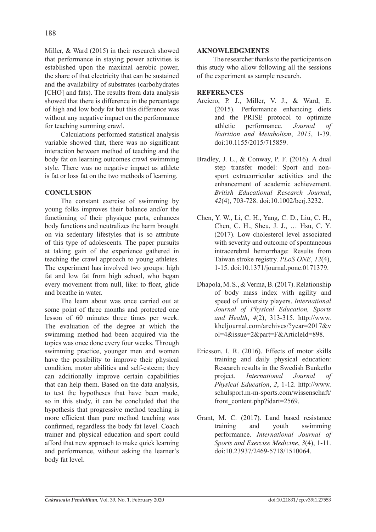Miller, & Ward (2015) in their research showed that performance in staying power activities is established upon the maximal aerobic power, the share of that electricity that can be sustained and the availability of substrates (carbohydrates [CHO] and fats). The results from data analysis showed that there is difference in the percentage of high and low body fat but this difference was without any negative impact on the performance for teaching summing crawl.

Calculations performed statistical analysis variable showed that, there was no significant interaction between method of teaching and the body fat on learning outcomes crawl swimming style. There was no negative impact as athlete is fat or loss fat on the two methods of learning.

# **CONCLUSION**

The constant exercise of swimming by young folks improves their balance and/or the functioning of their physique parts, enhances body functions and neutralizes the harm brought on via sedentary lifestyles that is so attribute of this type of adolescents. The paper pursuits at taking gain of the experience gathered in teaching the crawl approach to young athletes. The experiment has involved two groups: high fat and low fat from high school, who began every movement from null, like: to float, glide and breathe in water.

The learn about was once carried out at some point of three months and protected one lesson of 60 minutes three times per week. The evaluation of the degree at which the swimming method had been acquired via the topics was once done every four weeks. Through swimming practice, younger men and women have the possibility to improve their physical condition, motor abilities and self-esteem; they can additionally improve certain capabilities that can help them. Based on the data analysis, to test the hypotheses that have been made, so in this study, it can be concluded that the hypothesis that progressive method teaching is more efficient than pure method teaching was confirmed, regardless the body fat level. Coach trainer and physical education and sport could afford that new approach to make quick learning and performance, without asking the learner's body fat level.

## **AKNOWLEDGMENTS**

The researcher thanks to the participants on this study who allow following all the sessions of the experiment as sample research.

# **REFERENCES**

- Arciero, P. J., Miller, V. J., & Ward, E. (2015). Performance enhancing diets and the PRISE protocol to optimize athletic performance. *Journal of Nutrition and Metabolism*, *2015*, 1-39. doi:10.1155/2015/715859.
- Bradley, J. L., & Conway, P. F. (2016). A dual step transfer model: Sport and nonsport extracurricular activities and the enhancement of academic achievement. *British Educational Research Journal*, *42*(4), 703-728. doi:10.1002/berj.3232.
- Chen, Y. W., Li, C. H., Yang, C. D., Liu, C. H., Chen, C. H., Sheu, J. J., … Hsu, C. Y. (2017). Low cholesterol level associated with severity and outcome of spontaneous intracerebral hemorrhage: Results from Taiwan stroke registry. *PLoS ONE*, *12*(4), 1-15. doi:10.1371/journal.pone.0171379.
- Dhapola, M. S., & Verma, B. (2017). Relationship of body mass index with agility and speed of university players. *International Journal of Physical Education, Sports and Health*, *4*(2), 313-315. http://www. kheljournal.com/archives/?year=2017&v ol=4&issue=2&part=F&ArticleId=898.
- Ericsson, I. R. (2016). Effects of motor skills training and daily physical education: Research results in the Swedish Bunkeflo project. *International Journal of Physical Education*, *2*, 1-12. http://www. schulsport.m-m-sports.com/wissenschaft/ front\_content.php?idart=2569.
- Grant, M. C. (2017). Land based resistance training and youth swimming performance. *International Journal of Sports and Exercise Medicine*, *3*(4), 1-11. doi:10.23937/2469-5718/1510064.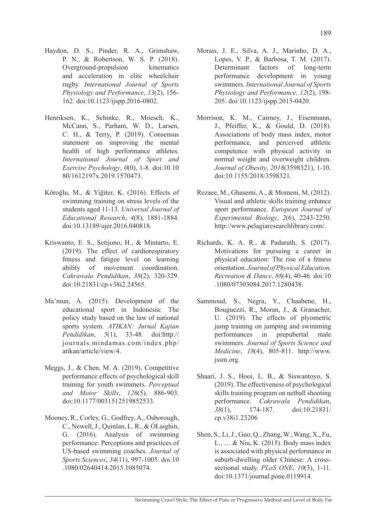- Haydon, D. S., Pinder, R. A., Grimshaw, P. N., & Robertson, W. S. P. (2018). Overground-propulsion kinematics and acceleration in elite wheelchair rugby. *International Journal of Sports Physiology and Performance*, *13*(2), 156- 162. doi:10.1123/ijspp.2016-0802.
- Henriksen, K., Schinke, R., Moesch, K., McCann, S., Parham, W. D., Larsen, C. H., & Terry, P. (2019). Consensus statement on improving the mental health of high performance athletes. *International Journal of Sport and Exercise Psychology*, *0*(0), 1-8. doi:10.10 80/1612197x.2019.1570473.
- Köroğlu, M., & Yiğiter, K. (2016). Effects of swimming training on stress levels of the students aged 11-13. *Universal Journal of Educational Research*, *4*(8), 1881-1884. doi:10.13189/ujer.2016.040818.
- Kriswanto, E. S., Setijono, H., & Mintarto, E. (2019). The effect of cardiorespiratory fitness and fatigue level on learning ability of movement coordination. *Cakrawala Pendidikan*, *38*(2), 320-329. doi:10.21831/cp.v38i2.24565.
- Ma'mun, A. (2015). Development of the educational sport in Indonesia: The policy study based on the law of national sports system. *ATIKAN: Jurnal Kajian Pendidikan*, *5*(1), 33-48. doi:http:// journals.mindamas.com/index.php/ atikan/article/view/4.
- Meggs, J., & Chen, M. A. (2019). Competitive performance effects of psychological skill training for youth swimmers. *Perceptual and Motor Skills*, *126*(5), 886-903. doi:10.1177/0031512519852533.
- Mooney, R., Corley, G., Godfrey, A., Osborough, C., Newell, J., Quinlan, L. R., & ÓLaighin, G. (2016). Analysis of swimming performance: Perceptions and practices of US-based swimming coaches. *Journal of Sports Sciences*, *34*(11), 997-1005. doi:10 .1080/02640414.2015.1085074.
- Morais, J. E., Silva, A. J., Marinho, D. A., Lopes, V. P., & Barbosa, T. M. (2017). Determinant factors of long-term performance development in young swimmers. *International Journal of Sports Physiology and Performance, 12*(2), 198- 205. doi:10.1123/ijspp.2015-0420.
- Morrison, K. M., Cairney, J., Eisenmann, J., Pfeiffer, K., & Gould, D. (2018). Associations of body mass index, motor performance, and perceived athletic competence with physical activity in normal weight and overweight children. *Journal of Obesity*, *2018*(3598321), 1-10. doi:10.1155/2018/3598321.
- Rezaee, M., Ghasemi, A., & Momeni, M. (2012). Visual and athletic skills training enhance sport performance. *European Journal of Experimental Biology*, *2*(6), 2243-2250. http://www.pelagiaresearchlibrary.com/.
- Richards, K. A. R., & Padaruth, S. (2017). Motivations for pursuing a career in physical education: The rise of a fitness orientation. *Journal of Physical Education, Recreation & Dance*, *88*(4), 40-46. doi:10 .1080/07303084.2017.1280438.
- Sammoud, S., Negra, Y., Chaabene, H., Bouguezzi, R., Moran, J., & Granacher, U. (2019). The effects of plyometric jump training on jumping and swimming performances in prepubertal male swimmers. *Journal of Sports Science and Medicine*, *18*(4), 805-811. http://www. jssm.org.
- Shaari, J. S., Hooi, L. B., & Siswantoyo, S. (2019). The effectiveness of psychological skills training program on netball shooting performance. *Cakrawala Pendidikan*, *38*(1), 174-187. doi:10.21831/ cp.v38i1.23206
- Shen, S., Li, J., Guo, Q., Zhang, W., Wang, X., Fu, L., … & Niu, K. (2015). Body mass index is associated with physical performance in suburb-dwelling older Chinese: A crosssectional study. *PLoS ONE*, *10*(3), 1-11. doi:10.1371/journal.pone.0119914.